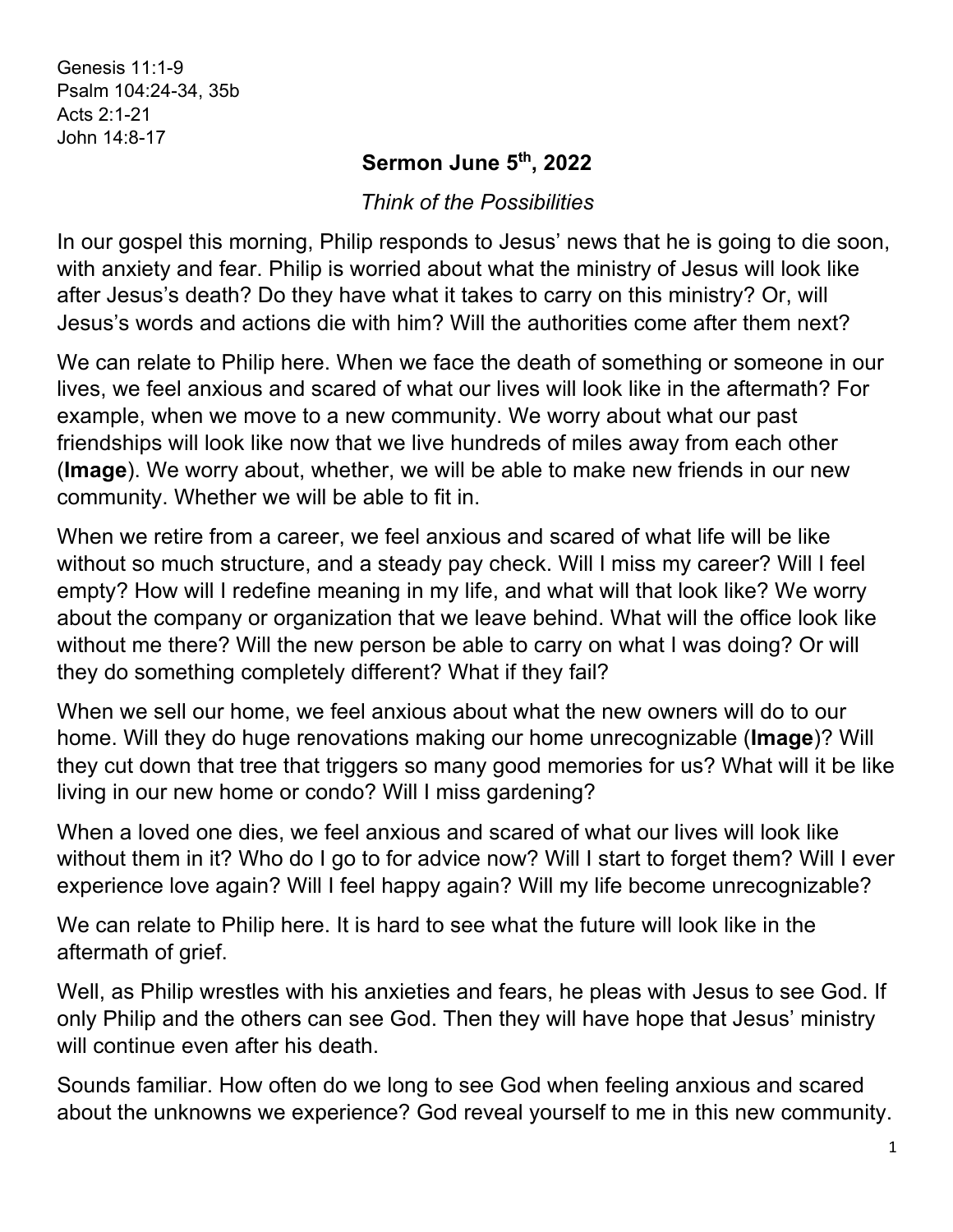Genesis 11:1-9 Psalm 104:24-34, 35b Acts 2:1-21 John 14:8-17

## **Sermon June 5th, 2022**

*Think of the Possibilities*

In our gospel this morning, Philip responds to Jesus' news that he is going to die soon, with anxiety and fear. Philip is worried about what the ministry of Jesus will look like after Jesus's death? Do they have what it takes to carry on this ministry? Or, will Jesus's words and actions die with him? Will the authorities come after them next?

We can relate to Philip here. When we face the death of something or someone in our lives, we feel anxious and scared of what our lives will look like in the aftermath? For example, when we move to a new community. We worry about what our past friendships will look like now that we live hundreds of miles away from each other (**Image**). We worry about, whether, we will be able to make new friends in our new community. Whether we will be able to fit in.

When we retire from a career, we feel anxious and scared of what life will be like without so much structure, and a steady pay check. Will I miss my career? Will I feel empty? How will I redefine meaning in my life, and what will that look like? We worry about the company or organization that we leave behind. What will the office look like without me there? Will the new person be able to carry on what I was doing? Or will they do something completely different? What if they fail?

When we sell our home, we feel anxious about what the new owners will do to our home. Will they do huge renovations making our home unrecognizable (**Image**)? Will they cut down that tree that triggers so many good memories for us? What will it be like living in our new home or condo? Will I miss gardening?

When a loved one dies, we feel anxious and scared of what our lives will look like without them in it? Who do I go to for advice now? Will I start to forget them? Will I ever experience love again? Will I feel happy again? Will my life become unrecognizable?

We can relate to Philip here. It is hard to see what the future will look like in the aftermath of grief.

Well, as Philip wrestles with his anxieties and fears, he pleas with Jesus to see God. If only Philip and the others can see God. Then they will have hope that Jesus' ministry will continue even after his death.

Sounds familiar. How often do we long to see God when feeling anxious and scared about the unknowns we experience? God reveal yourself to me in this new community.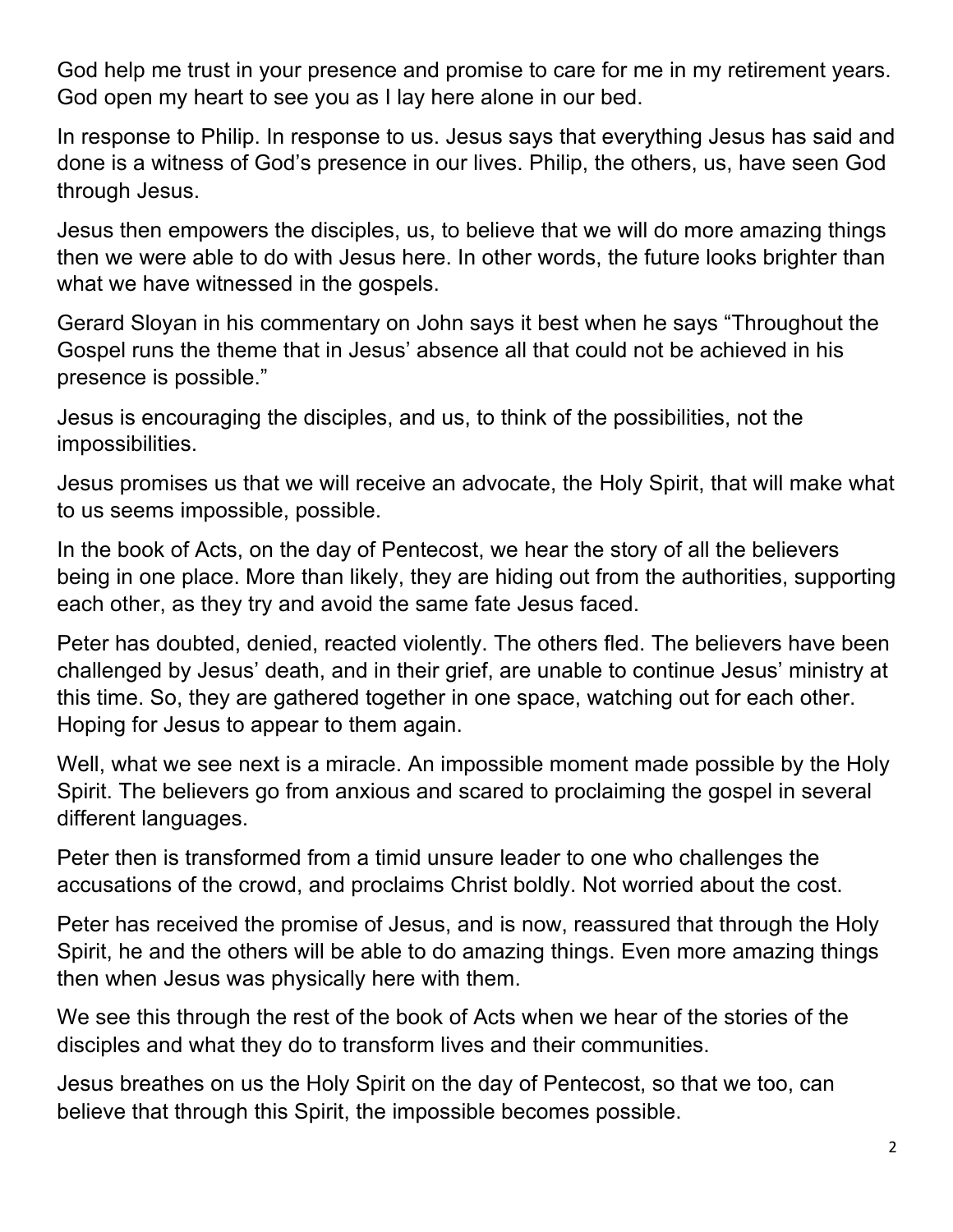God help me trust in your presence and promise to care for me in my retirement years. God open my heart to see you as I lay here alone in our bed.

In response to Philip. In response to us. Jesus says that everything Jesus has said and done is a witness of God's presence in our lives. Philip, the others, us, have seen God through Jesus.

Jesus then empowers the disciples, us, to believe that we will do more amazing things then we were able to do with Jesus here. In other words, the future looks brighter than what we have witnessed in the gospels.

Gerard Sloyan in his commentary on John says it best when he says "Throughout the Gospel runs the theme that in Jesus' absence all that could not be achieved in his presence is possible."

Jesus is encouraging the disciples, and us, to think of the possibilities, not the impossibilities.

Jesus promises us that we will receive an advocate, the Holy Spirit, that will make what to us seems impossible, possible.

In the book of Acts, on the day of Pentecost, we hear the story of all the believers being in one place. More than likely, they are hiding out from the authorities, supporting each other, as they try and avoid the same fate Jesus faced.

Peter has doubted, denied, reacted violently. The others fled. The believers have been challenged by Jesus' death, and in their grief, are unable to continue Jesus' ministry at this time. So, they are gathered together in one space, watching out for each other. Hoping for Jesus to appear to them again.

Well, what we see next is a miracle. An impossible moment made possible by the Holy Spirit. The believers go from anxious and scared to proclaiming the gospel in several different languages.

Peter then is transformed from a timid unsure leader to one who challenges the accusations of the crowd, and proclaims Christ boldly. Not worried about the cost.

Peter has received the promise of Jesus, and is now, reassured that through the Holy Spirit, he and the others will be able to do amazing things. Even more amazing things then when Jesus was physically here with them.

We see this through the rest of the book of Acts when we hear of the stories of the disciples and what they do to transform lives and their communities.

Jesus breathes on us the Holy Spirit on the day of Pentecost, so that we too, can believe that through this Spirit, the impossible becomes possible.